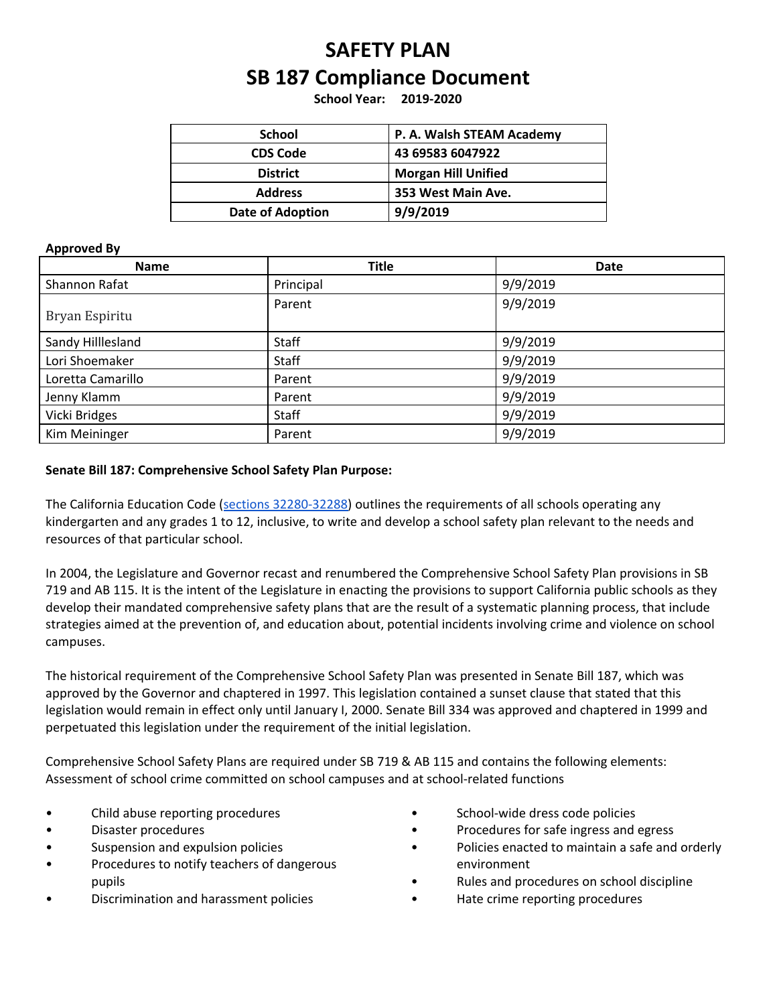# **SAFETY PLAN SB 187 Compliance Document**

**School Year: 2019-2020**

| <b>School</b>           | P. A. Walsh STEAM Academy  |
|-------------------------|----------------------------|
| <b>CDS Code</b>         | 43 69583 6047922           |
| <b>District</b>         | <b>Morgan Hill Unified</b> |
| <b>Address</b>          | 353 West Main Ave.         |
| <b>Date of Adoption</b> | 9/9/2019                   |

#### **Approved By**

| Name              | <b>Title</b> | <b>Date</b> |
|-------------------|--------------|-------------|
| Shannon Rafat     | Principal    | 9/9/2019    |
| Bryan Espiritu    | Parent       | 9/9/2019    |
| Sandy Hilllesland | Staff        | 9/9/2019    |
| Lori Shoemaker    | Staff        | 9/9/2019    |
| Loretta Camarillo | Parent       | 9/9/2019    |
| Jenny Klamm       | Parent       | 9/9/2019    |
| Vicki Bridges     | Staff        | 9/9/2019    |
| Kim Meininger     | Parent       | 9/9/2019    |

#### **Senate Bill 187: Comprehensive School Safety Plan Purpose:**

The California Education Code (sections [32280-32288](https://leginfo.legislature.ca.gov/faces/codes_displaySection.xhtml?lawCode=EDC§ionNum=32280.)) outlines the requirements of all schools operating any kindergarten and any grades 1 to 12, inclusive, to write and develop a school safety plan relevant to the needs and resources of that particular school.

In 2004, the Legislature and Governor recast and renumbered the Comprehensive School Safety Plan provisions in SB 719 and AB 115. It is the intent of the Legislature in enacting the provisions to support California public schools as they develop their mandated comprehensive safety plans that are the result of a systematic planning process, that include strategies aimed at the prevention of, and education about, potential incidents involving crime and violence on school campuses.

The historical requirement of the Comprehensive School Safety Plan was presented in Senate Bill 187, which was approved by the Governor and chaptered in 1997. This legislation contained a sunset clause that stated that this legislation would remain in effect only until January I, 2000. Senate Bill 334 was approved and chaptered in 1999 and perpetuated this legislation under the requirement of the initial legislation.

Comprehensive School Safety Plans are required under SB 719 & AB 115 and contains the following elements: Assessment of school crime committed on school campuses and at school-related functions

- Child abuse reporting procedures
- Disaster procedures
- Suspension and expulsion policies
- Procedures to notify teachers of dangerous pupils
- Discrimination and harassment policies
- School-wide dress code policies
- Procedures for safe ingress and egress
- Policies enacted to maintain a safe and orderly environment
- Rules and procedures on school discipline
- Hate crime reporting procedures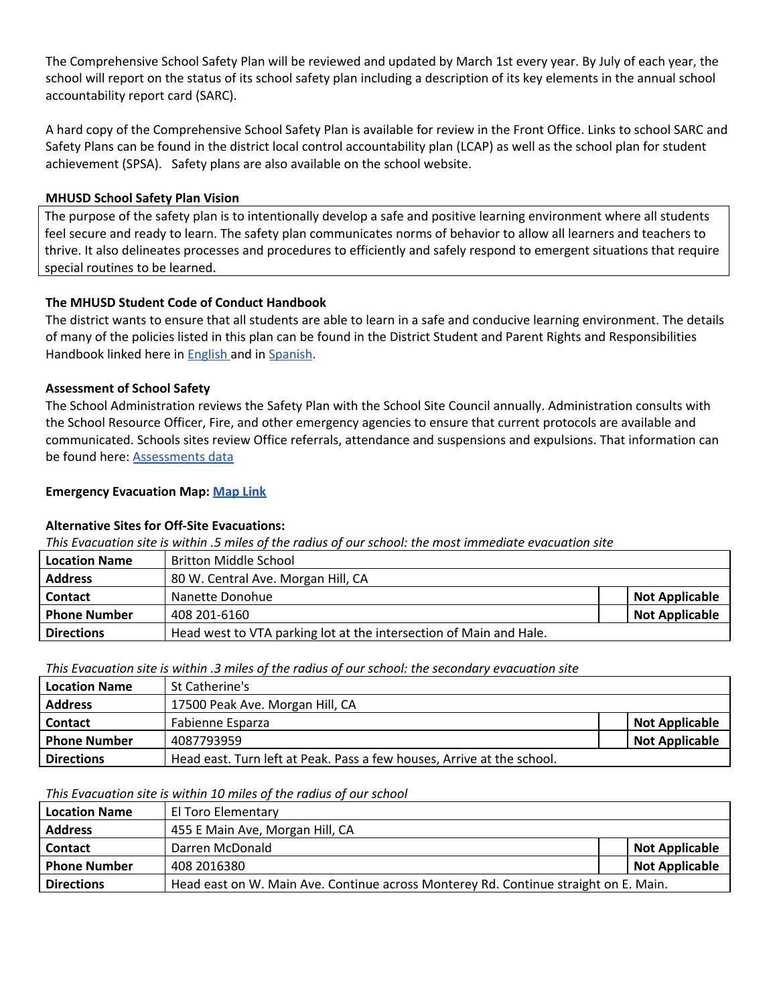The Comprehensive School Safety Plan will be reviewed and updated by March 1st every year. By July of each year, the school will report on the status of its school safety plan including a description of its key elements in the annual school accountability report card (SARC).

A hard copy of the Comprehensive School Safety Plan is available for review in the Front Office. Links to school SARC and Safety Plans can be found in the district local control accountability plan (LCAP) as well as the school plan for student achievement (SPSA). Safety plans are also available on the school website.

#### **MHUSD School Safety Plan Vision**

The purpose of the safety plan is to intentionally develop a safe and positive learning environment where all students feel secure and ready to learn. The safety plan communicates norms of behavior to allow all learners and teachers to thrive. It also delineates processes and procedures to efficiently and safely respond to emergent situations that require special routines to be learned.

## **The MHUSD Student Code of Conduct Handbook**

The district wants to ensure that all students are able to learn in a safe and conducive learning environment. The details of many of the policies listed in this plan can be found in the District Student and Parent Rights and Responsibilities Handbook linked here in **[English](https://drive.google.com/file/d/0B7TmloHBEBJkZEs0QktTYXROUXF2c0dTUWtQM0Y0cG92VFNV/view)** and in **[Spanish](https://drive.google.com/file/d/0B7TmloHBEBJkY0VLNEVCSjc4T0s2OElteE03b1BSeWl3YS1v/view)**.

## **Assessment of School Safety**

The School Administration reviews the Safety Plan with the School Site Council annually. Administration consults with the School Resource Officer, Fire, and other emergency agencies to ensure that current protocols are available and communicated. Schools sites review Office referrals, attendance and suspensions and expulsions. That information can be found here: [Assessments](https://drive.google.com/a/mhusd.org/file/d/1eCXakMFNBZysaZwS20FSqIlaYYdI9LKo/view?usp=sharing) data

## **Emergency Evacuation Map: [Map](https://drive.google.com/a/mhusd.org/file/d/1-M4m1KLISwzheYAIitgRslPOnopOQrxU/view?usp=sharing) Link**

## **Alternative Sites for Off-Site Evacuations:**

This Evacuation site is within .5 miles of the radius of our school: the most immediate evacuation site

| <b>Location Name</b> | <b>Britton Middle School</b>                                       |                       |
|----------------------|--------------------------------------------------------------------|-----------------------|
| <b>Address</b>       | 80 W. Central Ave. Morgan Hill, CA                                 |                       |
| <b>Contact</b>       | Nanette Donohue                                                    | <b>Not Applicable</b> |
| <b>Phone Number</b>  | 408 201-6160                                                       | <b>Not Applicable</b> |
| <b>Directions</b>    | Head west to VTA parking lot at the intersection of Main and Hale. |                       |

## *This Evacuation site is within .3 miles of the radius of our school: the secondary evacuation site*

| <b>Location Name</b> | l St Catherine's                                                       |                       |
|----------------------|------------------------------------------------------------------------|-----------------------|
| <b>Address</b>       | 17500 Peak Ave. Morgan Hill, CA                                        |                       |
| <b>Contact</b>       | Fabienne Esparza                                                       | <b>Not Applicable</b> |
| <b>Phone Number</b>  | 4087793959                                                             | <b>Not Applicable</b> |
| <b>Directions</b>    | Head east. Turn left at Peak. Pass a few houses, Arrive at the school. |                       |

#### *This Evacuation site is within 10 miles of the radius of our school*

| <b>Location Name</b> | El Toro Elementary                                                                   |                       |
|----------------------|--------------------------------------------------------------------------------------|-----------------------|
| <b>Address</b>       | 455 E Main Ave, Morgan Hill, CA                                                      |                       |
| <b>Contact</b>       | Darren McDonald                                                                      | <b>Not Applicable</b> |
| <b>Phone Number</b>  | 408 2016380                                                                          | <b>Not Applicable</b> |
| <b>Directions</b>    | Head east on W. Main Ave. Continue across Monterey Rd. Continue straight on E. Main. |                       |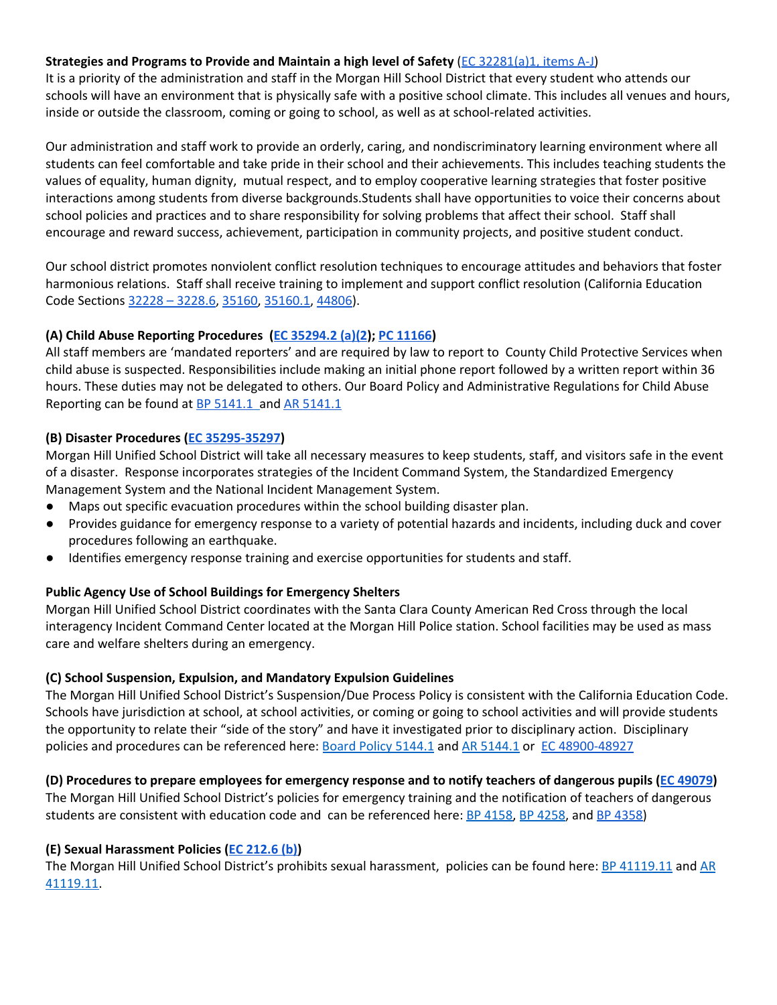## **Strategies and Programs to Provide and Maintain a high level of Safety** (EC [32281\(a\)1,](https://leginfo.legislature.ca.gov/faces/codes_displaySection.xhtml?lawCode=EDC§ionNum=32281.) items A-J)

It is a priority of the administration and staff in the Morgan Hill School District that every student who attends our schools will have an environment that is physically safe with a positive school climate. This includes all venues and hours, inside or outside the classroom, coming or going to school, as well as at school-related activities.

Our administration and staff work to provide an orderly, caring, and nondiscriminatory learning environment where all students can feel comfortable and take pride in their school and their achievements. This includes teaching students the values of equality, human dignity, mutual respect, and to employ cooperative learning strategies that foster positive interactions among students from diverse backgrounds.Students shall have opportunities to voice their concerns about school policies and practices and to share responsibility for solving problems that affect their school. Staff shall encourage and reward success, achievement, participation in community projects, and positive student conduct.

Our school district promotes nonviolent conflict resolution techniques to encourage attitudes and behaviors that foster harmonious relations. Staff shall receive training to implement and support conflict resolution (California Education Code Sections 32228 – [3228.6](https://law.justia.com/codes/california/2010/edc/32228-32228.5.html), [35160](http://leginfo.legislature.ca.gov/faces/codes_displaySection.xhtml?lawCode=EDC§ionNum=35160.), [35160.1](http://leginfo.legislature.ca.gov/faces/codes_displaySection.xhtml?lawCode=EDC§ionNum=35160.1.), [44806\)](http://leginfo.legislature.ca.gov/faces/codes_displaySection.xhtml?lawCode=EDC§ionNum=233.5.).

## **(A) Child Abuse Reporting Procedures (EC [35294.2](http://www.leginfo.ca.gov/pub/01-02/bill/asm/ab_0051-0100/ab_79_bill_20011010_chaptered.pdf) (a)(2); PC [11166](http://leginfo.legislature.ca.gov/faces/codes_displaySection.xhtml?lawCode=PEN§ionNum=11166))**

All staff members are 'mandated reporters' and are required by law to report to County Child Protective Services when child abuse is suspected. Responsibilities include making an initial phone report followed by a written report within 36 hours. These duties may not be delegated to others. Our Board Policy and Administrative Regulations for Child Abuse Reporting can be found at **BP [5141.1](http://www.gamutonline.net/district/morganhill/displayPolicy/797875/)** and AR 5141.1

## **(B) Disaster Procedures (EC [35295-35297](http://leginfo.legislature.ca.gov/faces/codes_displaySection.xhtml?sectionNum=35296.&lawCode=EDC))**

Morgan Hill Unified School District will take all necessary measures to keep students, staff, and visitors safe in the event of a disaster. Response incorporates strategies of the Incident Command System, the Standardized Emergency Management System and the National Incident Management System.

- Maps out specific evacuation procedures within the school building disaster plan.
- Provides guidance for emergency response to a variety of potential hazards and incidents, including duck and cover procedures following an earthquake.
- Identifies emergency response training and exercise opportunities for students and staff.

## **Public Agency Use of School Buildings for Emergency Shelters**

Morgan Hill Unified School District coordinates with the Santa Clara County American Red Cross through the local interagency Incident Command Center located at the Morgan Hill Police station. School facilities may be used as mass care and welfare shelters during an emergency.

## **(C) School Suspension, Expulsion, and Mandatory Expulsion Guidelines**

The Morgan Hill Unified School District's Suspension/Due Process Policy is consistent with the California Education Code. Schools have jurisdiction at school, at school activities, or coming or going to school activities and will provide students the opportunity to relate their "side of the story" and have it investigated prior to disciplinary action. Disciplinary policies and procedures can be referenced here: Board Policy [5144.1](http://www.gamutonline.net/district/morganhill/displayPolicy/797883/) and AR 5144.1 or EC [48900-48927](http://leginfo.legislature.ca.gov/faces/codes_displaySection.xhtml?sectionNum=48900.&lawCode=EDC)

(D) Procedures to prepare employees for emergency response and to notify teachers of dangerous pupils (EC [49079\)](http://leginfo.legislature.ca.gov/faces/codes_displaySection.xhtml?lawCode=EDC§ionNum=49079.) The Morgan Hill Unified School District's policies for emergency training and the notification of teachers of dangerous students are consistent with education code and can be referenced here: BP [4158](http://www.gamutonline.net/district/morganhill/displayPolicy/797754/), BP [4258,](http://www.gamutonline.net/district/morganhill/displayPolicy/797755/) and BP [4358\)](http://www.gamutonline.net/district/morganhill/displayPolicy/797756/)

## **(E) Sexual Harassment Policies (EC [212.6](http://leginfo.legislature.ca.gov/faces/codes_displaySection.xhtml?lawCode=EDC§ionNum=212.6.) (b))**

The Morgan Hill Unified School District's prohibits sexual harassment, policies can be found here: BP [41119.11](http://www.gamutonline.net/district/morganhill/DisplayPolicy/797653/) and [AR](http://www.gamutonline.net/district/morganhill/displayPolicy/797656/) [41119.11.](http://www.gamutonline.net/district/morganhill/displayPolicy/797656/)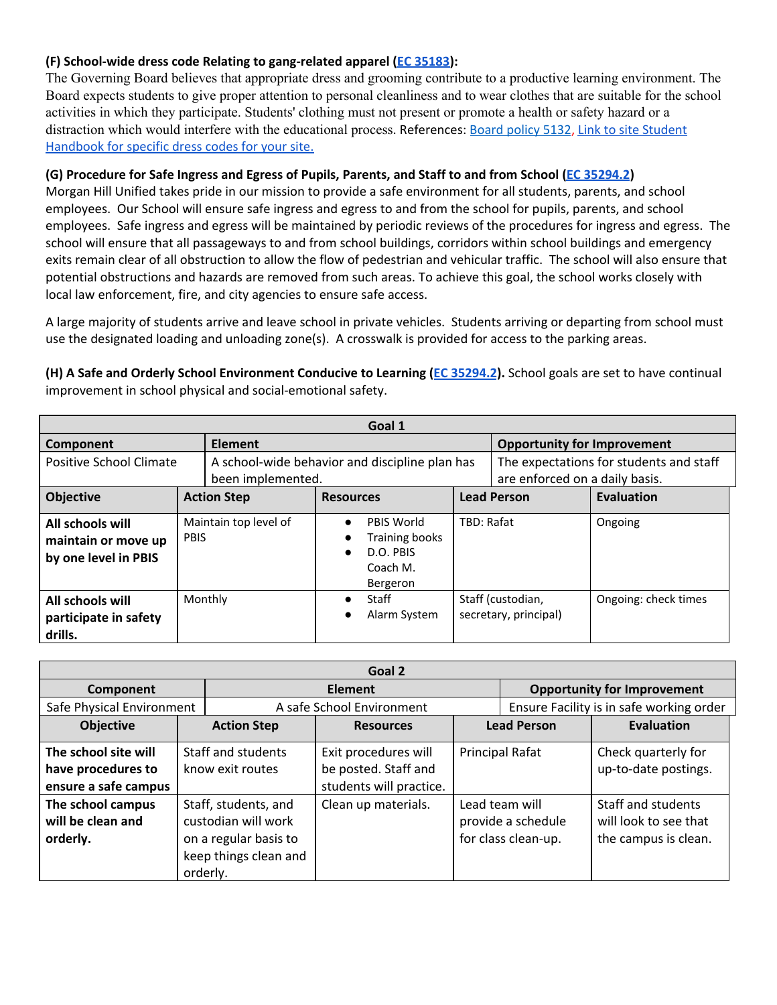## **(F) School-wide dress code Relating to gang-related apparel (EC [35183\)](https://leginfo.legislature.ca.gov/faces/codes_displaySection.xhtml?lawCode=EDC§ionNum=35183):**

The Governing Board believes that appropriate dress and grooming contribute to a productive learning environment. The Board expects students to give proper attention to personal cleanliness and to wear clothes that are suitable for the school activities in which they participate. Students' clothing must not present or promote a health or safety hazard or a distraction which would interfere with the educational process. References: [Board](http://www.gamutonline.net/district/morganhill/DisplayPolicy/797863/) policy 5132, Link to site [Student](https://drive.google.com/a/mhusd.org/file/d/1Vzq3Xe2dgUfG2P0okfkmjjdbKdAmPirA/view?usp=sharing) [Handbook](https://drive.google.com/a/mhusd.org/file/d/1Vzq3Xe2dgUfG2P0okfkmjjdbKdAmPirA/view?usp=sharing) for specific dress codes for your site.

## (G) Procedure for Safe Ingress and Egress of Pupils, Parents, and Staff to and from School (EC [35294.2](http://www.leginfo.ca.gov/pub/01-02/bill/asm/ab_0051-0100/ab_79_bill_20011010_chaptered.pdf))

Morgan Hill Unified takes pride in our mission to provide a safe environment for all students, parents, and school employees. Our School will ensure safe ingress and egress to and from the school for pupils, parents, and school employees. Safe ingress and egress will be maintained by periodic reviews of the procedures for ingress and egress. The school will ensure that all passageways to and from school buildings, corridors within school buildings and emergency exits remain clear of all obstruction to allow the flow of pedestrian and vehicular traffic. The school will also ensure that potential obstructions and hazards are removed from such areas. To achieve this goal, the school works closely with local law enforcement, fire, and city agencies to ensure safe access.

A large majority of students arrive and leave school in private vehicles. Students arriving or departing from school must use the designated loading and unloading zone(s). A crosswalk is provided for access to the parking areas.

**(H) A Safe and Orderly School Environment Conducive to Learning (EC [35294.2\)](http://www.leginfo.ca.gov/pub/01-02/bill/asm/ab_0051-0100/ab_79_bill_20011010_chaptered.pdf).** School goals are set to have continual improvement in school physical and social-emotional safety.

| Goal 1                                                          |             |                       |                                                                     |                                                                          |            |                                            |                                         |
|-----------------------------------------------------------------|-------------|-----------------------|---------------------------------------------------------------------|--------------------------------------------------------------------------|------------|--------------------------------------------|-----------------------------------------|
| Component                                                       |             | <b>Element</b>        |                                                                     |                                                                          |            | <b>Opportunity for Improvement</b>         |                                         |
| Positive School Climate                                         |             |                       | A school-wide behavior and discipline plan has<br>been implemented. |                                                                          |            | are enforced on a daily basis.             | The expectations for students and staff |
| <b>Objective</b>                                                |             | <b>Action Step</b>    | <b>Resources</b>                                                    |                                                                          |            | <b>Lead Person</b>                         | Evaluation                              |
| All schools will<br>maintain or move up<br>by one level in PBIS | <b>PBIS</b> | Maintain top level of | $\bullet$<br>$\bullet$                                              | PBIS World<br><b>Training books</b><br>D.O. PBIS<br>Coach M.<br>Bergeron | TBD: Rafat |                                            | Ongoing                                 |
| All schools will<br>participate in safety<br>drills.            |             | Monthly               | $\bullet$                                                           | <b>Staff</b><br>Alarm System                                             |            | Staff (custodian,<br>secretary, principal) | Ongoing: check times                    |

| Goal 2                                                             |                                                                                                           |                                                                         |  |                                                             |                                                                     |  |
|--------------------------------------------------------------------|-----------------------------------------------------------------------------------------------------------|-------------------------------------------------------------------------|--|-------------------------------------------------------------|---------------------------------------------------------------------|--|
| Component                                                          |                                                                                                           | Element                                                                 |  |                                                             | <b>Opportunity for Improvement</b>                                  |  |
| Safe Physical Environment                                          |                                                                                                           | A safe School Environment                                               |  |                                                             | Ensure Facility is in safe working order                            |  |
| <b>Objective</b>                                                   | <b>Action Step</b>                                                                                        | <b>Lead Person</b><br><b>Resources</b>                                  |  | Evaluation                                                  |                                                                     |  |
| The school site will<br>have procedures to<br>ensure a safe campus | Staff and students<br>know exit routes                                                                    | Exit procedures will<br>be posted. Staff and<br>students will practice. |  | <b>Principal Rafat</b>                                      | Check quarterly for<br>up-to-date postings.                         |  |
| The school campus<br>will be clean and<br>orderly.                 | Staff, students, and<br>custodian will work<br>on a regular basis to<br>keep things clean and<br>orderly. | Clean up materials.                                                     |  | Lead team will<br>provide a schedule<br>for class clean-up. | Staff and students<br>will look to see that<br>the campus is clean. |  |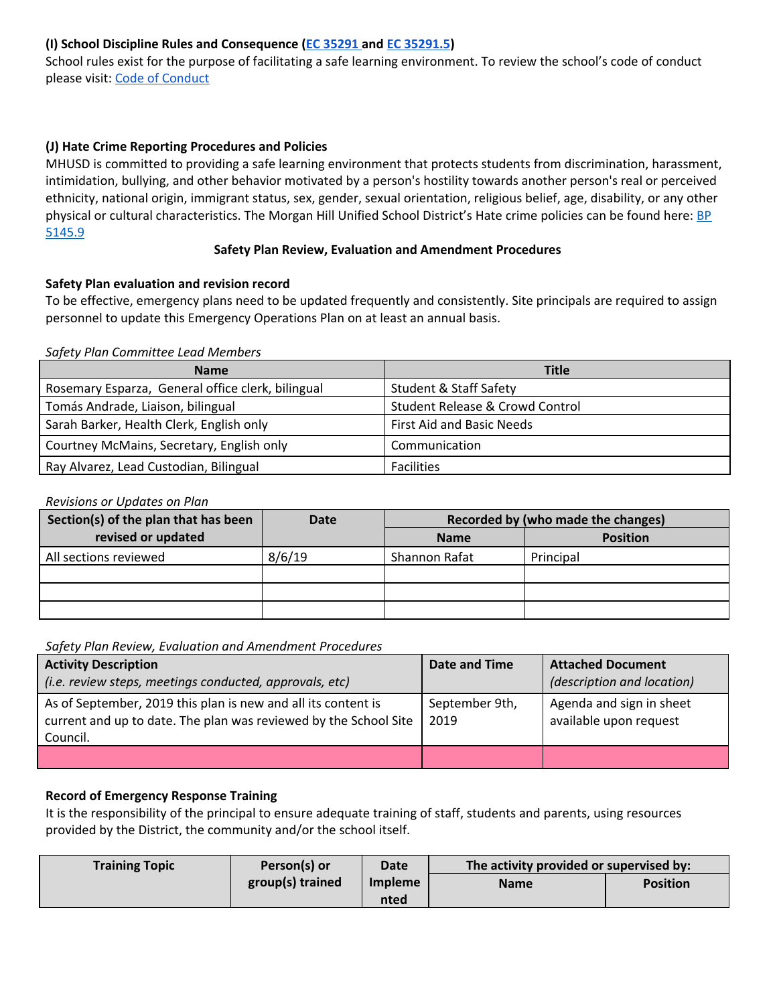## **(I) School Discipline Rules and Consequence (EC [35291](http://leginfo.legislature.ca.gov/faces/codes_displaySection.xhtml?lawCode=EDC§ionNum=35291.) and EC [35291.5\)](http://leginfo.legislature.ca.gov/faces/codes_displaySection.xhtml?lawCode=EDC§ionNum=35291.5.)**

School rules exist for the purpose of facilitating a safe learning environment. To review the school's code of conduct please visit: Code of [Conduct](https://drive.google.com/a/mhusd.org/file/d/1Vzq3Xe2dgUfG2P0okfkmjjdbKdAmPirA/view?usp=sharing)

## **(J) Hate Crime Reporting Procedures and Policies**

MHUSD is committed to providing a safe learning environment that protects students from discrimination, harassment, intimidation, bullying, and other behavior motivated by a person's hostility towards another person's real or perceived ethnicity, national origin, immigrant status, sex, gender, sexual orientation, religious belief, age, disability, or any other physical or cultural characteristics. The Morgan Hill Unified School District's Hate crime policies can be found here: **[BP](http://www.gamutonline.net/district/morganhill/displayPolicy/797898/)** [5145.9](http://www.gamutonline.net/district/morganhill/displayPolicy/797898/)

#### **Safety Plan Review, Evaluation and Amendment Procedures**

#### **Safety Plan evaluation and revision record**

To be effective, emergency plans need to be updated frequently and consistently. Site principals are required to assign personnel to update this Emergency Operations Plan on at least an annual basis.

#### *Safety Plan Committee Lead Members*

| <b>Name</b>                                       | <b>Title</b>                      |
|---------------------------------------------------|-----------------------------------|
| Rosemary Esparza, General office clerk, bilingual | <b>Student &amp; Staff Safety</b> |
| Tomás Andrade, Liaison, bilingual                 | Student Release & Crowd Control   |
| Sarah Barker, Health Clerk, English only          | First Aid and Basic Needs         |
| Courtney McMains, Secretary, English only         | Communication                     |
| Ray Alvarez, Lead Custodian, Bilingual            | <b>Facilities</b>                 |

#### *Revisions or Updates on Plan*

| Section(s) of the plan that has been | Date   | Recorded by (who made the changes) |                 |  |
|--------------------------------------|--------|------------------------------------|-----------------|--|
| revised or updated                   |        | <b>Name</b>                        | <b>Position</b> |  |
| All sections reviewed                | 8/6/19 | Shannon Rafat                      | Principal       |  |
|                                      |        |                                    |                 |  |
|                                      |        |                                    |                 |  |
|                                      |        |                                    |                 |  |

*Safety Plan Review, Evaluation and Amendment Procedures*

| <b>Activity Description</b><br>(i.e. review steps, meetings conducted, approvals, etc)                                                        | Date and Time          | <b>Attached Document</b><br>(description and location) |
|-----------------------------------------------------------------------------------------------------------------------------------------------|------------------------|--------------------------------------------------------|
| As of September, 2019 this plan is new and all its content is<br>current and up to date. The plan was reviewed by the School Site<br>Council. | September 9th,<br>2019 | Agenda and sign in sheet<br>available upon request     |
|                                                                                                                                               |                        |                                                        |

## **Record of Emergency Response Training**

It is the responsibility of the principal to ensure adequate training of staff, students and parents, using resources provided by the District, the community and/or the school itself.

| <b>Training Topic</b> | Person(s) or     | <b>Date</b>    | The activity provided or supervised by: |                 |  |
|-----------------------|------------------|----------------|-----------------------------------------|-----------------|--|
|                       | group(s) trained | <b>Impleme</b> | <b>Name</b>                             | <b>Position</b> |  |
|                       |                  | nted           |                                         |                 |  |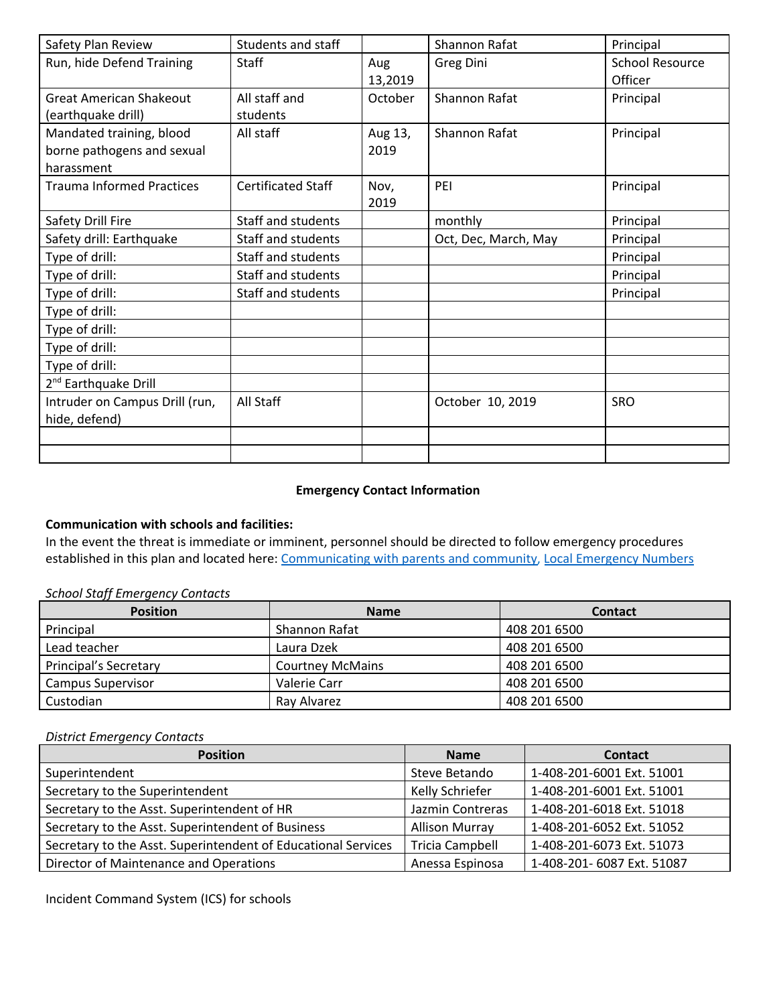| Safety Plan Review                                                   | Students and staff        |                 | Shannon Rafat        | Principal                         |
|----------------------------------------------------------------------|---------------------------|-----------------|----------------------|-----------------------------------|
| Run, hide Defend Training                                            | <b>Staff</b>              | Aug<br>13,2019  | <b>Greg Dini</b>     | <b>School Resource</b><br>Officer |
| <b>Great American Shakeout</b><br>(earthquake drill)                 | All staff and<br>students | October         | Shannon Rafat        | Principal                         |
| Mandated training, blood<br>borne pathogens and sexual<br>harassment | All staff                 | Aug 13,<br>2019 | Shannon Rafat        | Principal                         |
| <b>Trauma Informed Practices</b>                                     | <b>Certificated Staff</b> | Nov,<br>2019    | PEI                  | Principal                         |
| Safety Drill Fire                                                    | Staff and students        |                 | monthly              | Principal                         |
| Safety drill: Earthquake                                             | Staff and students        |                 | Oct, Dec, March, May | Principal                         |
| Type of drill:                                                       | Staff and students        |                 |                      | Principal                         |
| Type of drill:                                                       | Staff and students        |                 |                      | Principal                         |
| Type of drill:                                                       | Staff and students        |                 |                      | Principal                         |
| Type of drill:                                                       |                           |                 |                      |                                   |
| Type of drill:                                                       |                           |                 |                      |                                   |
| Type of drill:                                                       |                           |                 |                      |                                   |
| Type of drill:                                                       |                           |                 |                      |                                   |
| 2 <sup>nd</sup> Earthquake Drill                                     |                           |                 |                      |                                   |
| Intruder on Campus Drill (run,<br>hide, defend)                      | All Staff                 |                 | October 10, 2019     | SRO                               |
|                                                                      |                           |                 |                      |                                   |
|                                                                      |                           |                 |                      |                                   |

## **Emergency Contact Information**

## **Communication with schools and facilities:**

In the event the threat is immediate or imminent, personnel should be directed to follow emergency procedures established in this plan and located here: [Communicating](https://drive.google.com/file/d/1E0JOQ_OPxTbV6sqrpdciQn4oMCHsrOXU/view?usp=sharing) with parents and community, Local [Emergency](https://drive.google.com/file/d/1oj0CRLVVUB341qhfIP_VnXcXZ50WGLhE/view?usp=sharing) Numbers

#### *School Staff Emergency Contacts*

| <b>Position</b>              | <b>Name</b>             | <b>Contact</b> |
|------------------------------|-------------------------|----------------|
| Principal                    | Shannon Rafat           | 408 201 6500   |
| Lead teacher                 | Laura Dzek              | 408 201 6500   |
| <b>Principal's Secretary</b> | <b>Courtney McMains</b> | 408 201 6500   |
| Campus Supervisor            | Valerie Carr            | 408 201 6500   |
| Custodian                    | Ray Alvarez             | 408 201 6500   |

#### *District Emergency Contacts*

| <b>Position</b>                                               | <b>Name</b>            | <b>Contact</b>             |
|---------------------------------------------------------------|------------------------|----------------------------|
| Superintendent                                                | Steve Betando          | 1-408-201-6001 Ext. 51001  |
| Secretary to the Superintendent                               | Kelly Schriefer        | 1-408-201-6001 Ext. 51001  |
| Secretary to the Asst. Superintendent of HR                   | Jazmin Contreras       | 1-408-201-6018 Ext. 51018  |
| Secretary to the Asst. Superintendent of Business             | <b>Allison Murray</b>  | 1-408-201-6052 Ext. 51052  |
| Secretary to the Asst. Superintendent of Educational Services | <b>Tricia Campbell</b> | 1-408-201-6073 Ext. 51073  |
| Director of Maintenance and Operations                        | Anessa Espinosa        | 1-408-201- 6087 Ext. 51087 |

Incident Command System (ICS) for schools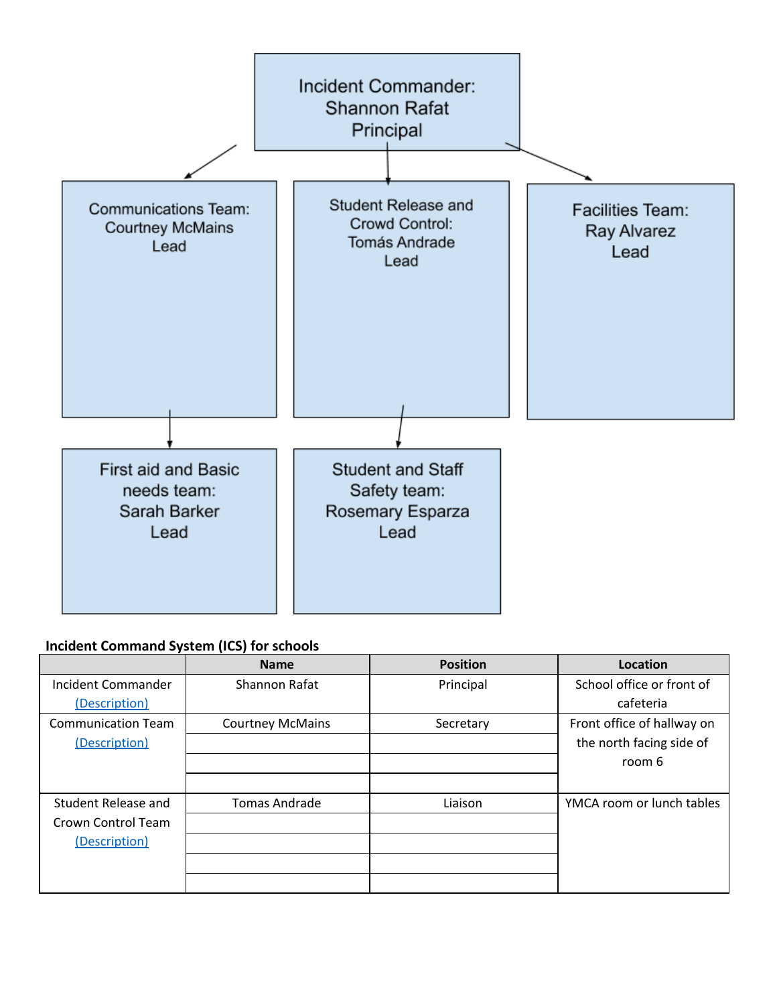

# **Incident Command System (ICS) for schools**

|                           | <b>Name</b>             | <b>Position</b> | Location                   |
|---------------------------|-------------------------|-----------------|----------------------------|
| Incident Commander        | Shannon Rafat           | Principal       | School office or front of  |
| (Description)             |                         |                 | cafeteria                  |
| <b>Communication Team</b> | <b>Courtney McMains</b> | Secretary       | Front office of hallway on |
| (Description)             |                         |                 | the north facing side of   |
|                           |                         |                 | room 6                     |
|                           |                         |                 |                            |
| Student Release and       | <b>Tomas Andrade</b>    | Liaison         | YMCA room or lunch tables  |
| Crown Control Team        |                         |                 |                            |
| (Description)             |                         |                 |                            |
|                           |                         |                 |                            |
|                           |                         |                 |                            |